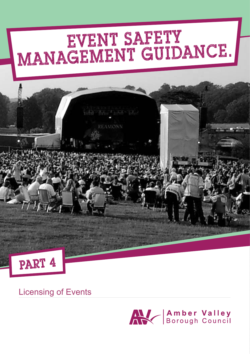# MANAGEMENT GUIDANCE.

 $\label{eq:1} \overline{\min}=\overline{\min}(\mathbb{E}_{\text{min}}(\mathbb{E}_{\text{min}}))=\overline{\min}(\mathbb{E}_{\text{min}})$ 

**LEAMONN** 



 $T_{\rm{eff}}$ 

#### Licensing of Events

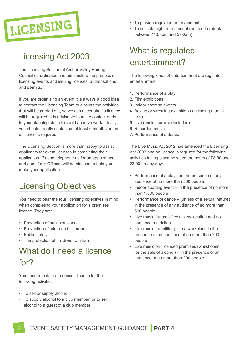

## Licensing Act 2003

The Licensing Section at Amber Valley Borough Council co-ordinates and administers the process of licensing events and issuing licences, authorisations and permits.

If you are organising an event it is always a good idea to contact the Licensing Team to discuss the activities that will be carried out, so we can ascertain if a licence will be required. It is advisable to make contact early in your planning stage to avoid abortive work. Ideally you should initially contact us at least 6 months before a licence is required.

The Licensing Section is more than happy to assist applicants for event licenses in completing their application. Please telephone us for an appointment and one of our Officers will be pleased to help you make your application.

## Licensing Objectives

You need to bear the four licensing objectives in mind when completing your application for a premises licence. They are:

- Prevention of public nuisance;
- Prevention of crime and disorder;
- Public safety;
- The protection of children from harm.

## What do I need a licence for?

You need to obtain a premises licence for the following activities:

- To sell or supply alcohol
- To supply alcohol to a club member, or to sell alcohol to a guest of a club member
- To provide regulated entertainment
- To sell late night refreshment (hot food or drink between 11.00pm and 5.00am)

# What is regulated entertainment?

The following kinds of entertainment are regulated entertainment:

- 1. Performance of a play
- 2. Film exhibitions
- 3. Indoor sporting events
- 4. Boxing or wrestling exhibitions (including martial arts)
- 5. Live music (karaoke included)
- 6. Recorded music
- 7. Performance of a dance

The Live Music Act 2012 has amended the Licensing Act 2003 and no licence is required for the following activities taking place between the hours of 08:00 and 23:00 on any day:

- Performance of a play in the presence of any audience of no more than 500 people
- Indoor sporting event in the presence of no more than 1,000 people
- Performance of dance (unless of a sexual nature) in the presence of any audience of no more than 500 people
- Live music (unamplified) any location and no audience restriction
- Live music (amplified) in a workplace in the presence of an audience of no more than 200 people
- Live music on licensed premises (whilst open for the sale of alcohol) – in the presence of an audience of no more than 200 people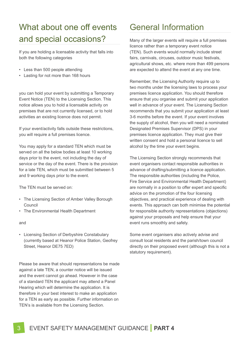# What about one off events and special occasions?

If you are holding a licensable activity that falls into both the following categories

- Less than 500 people attending
- Lasting for not more than 168 hours

you can hold your event by submitting a Temporary Event Notice (TEN) to the Licensing Section. This notice allows you to hold a licensable activity on premises that are not currently licensed, or to hold activities an existing licence does not permit.

If your event/activity falls outside these restrictions, you will require a full premises licence.

You may apply for a standard TEN which must be served on all the below bodies at least 10 working days prior to the event, not including the day of service or the day of the event. There is the provision for a late TEN, which must be submitted between 5 and 9 working days prior to the event.

The TEN must be served on:

- The Licensing Section of Amber Valley Borough Council
- The Environmental Health Department

and

• Licensing Section of Derbyshire Constabulary (currently based at Heanor Police Station, Geofrey Street, Heanor DE75 7ED)

Please be aware that should representations be made against a late TEN, a counter notice will be issued and the event cannot go ahead. However in the case of a standard TEN the applicant may attend a Panel Hearing which will determine the application. It is therefore in your best interest to make an application for a TEN as early as possible. Further information on TEN's is available from the Licensing Section.

#### General Information

Many of the larger events will require a full premises licence rather than a temporary event notice (TEN). Such events would normally include street fairs, carnivals, circuses, outdoor music festivals, agricultural shows, etc. where more than 499 persons are expected to attend the event at any one time.

Remember, the Licensing Authority require up to two months under the licensing laws to process your premises licence application. You should therefore ensure that you organise and submit your application well in advance of your event. The Licensing Section recommends that you submit your application at least 3-6 months before the event. If your event involves the supply of alcohol, then you will need a nominated Designated Premises Supervisor (DPS) in your premises licence application. They must give their written consent and hold a personal licence to sell alcohol by the time your event begins.

The Licensing Section strongly recommends that event organisers contact responsible authorities in advance of drafting/submitting a licence application. The responsible authorities (including the Police, Fire Service and Environmental Health Department) are normally in a position to offer expert and specific advice on the promotion of the four licensing objectives, and practical experience of dealing with events. This approach can both minimise the potential for responsible authority representations (objections) against your proposals and help ensure that your event runs smoothly and safely.

Some event organisers also actively advise and consult local residents and the parish/town council directly on their proposed event (although this is not a statutory requirement).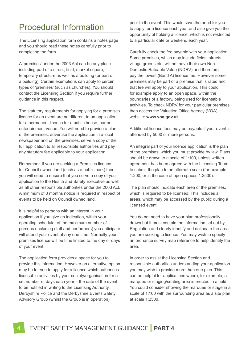#### Procedural Information

The Licensing application form contains a notes page and you should read these notes carefully prior to completing the form.

A 'premises' under the 2003 Act can be any place including part of a street, field, market square, temporary structure as well as a building (or part of a building). Certain exemptions can apply to certain types of 'premises' (such as churches). You should contact the Licensing Section if you require further guidance in this respect.

The statutory requirements for applying for a premises licence for an event are no different to an application for a permanent licence for a public house, bar or entertainment venue. You will need to provide a plan of the premises, advertise the application in a local newspaper and on the premises, serve a copy of the full application to all responsible authorities and pay any statutory fee applicable to your application.

Remember, if you are seeking a Premises licence for Council owned land (such as a public park) then you will need to ensure that you serve a copy of your application to the Health and Safety Executive as well as all other responsible authorities under the 2003 Act. A minimum of 3 months notice is required in respect of events to be held on Council owned land.

It is helpful to persons with an interest in your application if you give an indication, within your operating schedule, of the maximum number of persons (including staff and performers) you anticipate will attend your event at any one time. Normally your premises licence will be time limited to the day or days of your event.

The application form provides a space for you to provide this information. However an alternative option may be for you to apply for a licence which authorises licensable activities by your society/organisation for a set number of days each year – the date of the event to be notified in writing to the Licensing Authority, Derbyshire Police and the Derbyshire Events Safety Advisory Group (whilst the Group is in operation)

prior to the event. This would save the need for you to apply for a licence each year and also give you the opportunity of holding a licence, which is not restricted to a particular date or weekend each year.

Carefully check the fee payable with your application. Some premises, which may include fields, streets, village greens etc. will not have their own Non-Domestic Rateable Value (NDRV) and therefore pay the lowest (Band A) licence fee. However some premises may be part of a premise that is rated and that fee will apply to your application. This could for example apply to an open space, within the boundaries of a factory, being used for licensable activities. To check NDRV for your particular premises then access the Valuation Office Agency (VOA) website: **www.voa.gov.uk**

Additional licence fees may be payable if your event is attended by 5000 or more persons.

An integral part of your licence application is the plan of the premises, which you must provide by law. Plans should be drawn to a scale of 1:100, unless written agreement has been agreed with the Licensing Team to submit the plan to an alternate scale (for example 1:200, or in the case of open spaces 1:2500).

The plan should indicate each area of the premises, which is required to be licensed. This includes all areas, which may be accessed by the public during a licensed event.

You do not need to have your plan professionally drawn but it must contain the information set out by Regulation and clearly identify and delineate the area you are seeking to licence. You may wish to specify an ordnance survey map reference to help identify the area.

In order to assist the Licensing Section and responsible authorities understanding your application you may wish to provide more than one plan. This can be helpful for applications where, for example, a marquee or staging/seating area is erected in a field. You could consider showing the marquee or stage in a scale of 1:100 with the surrounding area as a site plan at scale 1:2500.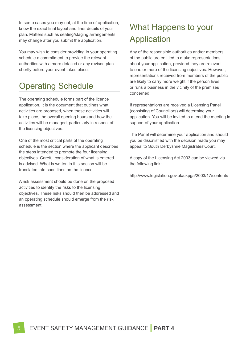In some cases you may not, at the time of application, know the exact final layout and finer details of your plan. Matters such as seating/staging arrangements may change after you submit the application.

You may wish to consider providing in your operating schedule a commitment to provide the relevant authorities with a more detailed or any revised plan shortly before your event takes place.

## Operating Schedule

The operating schedule forms part of the licence application. It is the document that outlines what activities are proposed, when these activities will take place, the overall opening hours and how the activities will be managed, particularly in respect of the licensing objectives.

One of the most critical parts of the operating schedule is the section where the applicant describes the steps intended to promote the four licensing objectives. Careful consideration of what is entered is advised. What is written in this section will be translated into conditions on the licence.

A risk assessment should be done on the proposed activities to identify the risks to the licensing objectives. These risks should then be addressed and an operating schedule should emerge from the risk assessment.

# What Happens to your **Application**

Any of the responsible authorities and/or members of the public are entitled to make representations about your application, provided they are relevant to one or more of the licensing objectives. However, representations received from members of the public are likely to carry more weight if the person lives or runs a business in the vicinity of the premises concerned.

If representations are received a Licensing Panel (consisting of Councillors) will determine your application. You will be invited to attend the meeting in support of your application.

The Panel will determine your application and should you be dissatisfied with the decision made you may appeal to South Derbyshire Magistrates'Court.

A copy of the Licensing Act 2003 can be viewed via the following link:

http://www.legislation.gov.uk/ukpga/2003/17/contents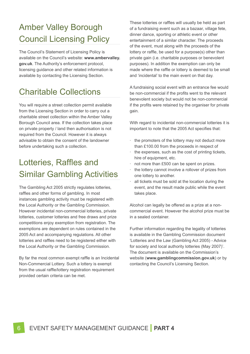# Amber Valley Borough Council Licensing Policy

The Council's Statement of Licensing Policy is available on the Council's website: **www.ambervalley. gov.uk**. The Authority's enforcement protocol, licensing guidance and other related information is available by contacting the Licensing Section.

## Charitable Collections

You will require a street collection permit available from the Licensing Section in order to carry out a charitable street collection within the Amber Valley Borough Council area. If the collection takes place on private property / land then authorisation is not required from the Council. However it is always advisable to obtain the consent of the landowner before undertaking such a collection.

## Lotteries, Raffles and Similar Gambling Activities

The Gambling Act 2005 strictly regulates lotteries, raffles and other forms of gambling. In most instances gambling activity must be registered with the Local Authority or the Gambling Commission. However incidental non-commercial lotteries, private lotteries, customer lotteries and free draws and prize competitions enjoy exemption from registration. The exemptions are dependent on rules contained in the 2005 Act and accompanying regulations. All other lotteries and raffles need to be registered either with the Local Authority or the Gambling Commission.

By far the most common exempt raffle is an Incidental Non-Commercial Lottery. Such a lottery is exempt from the usual raffle/lottery registration requirement provided certain criteria can be met.

These lotteries or raffles will usually be held as part of a fundraising event such as a bazaar, village fete, dinner dance, sporting or athletic event or other entertainment of a similar character. The proceeds of the event, must along with the proceeds of the lottery or raffle, be used for a purpose(s) other than private gain (i.e. charitable purposes or benevolent purposes). In addition the exemption can only be made where the raffle or lottery is deemed to be small and 'incidental' to the main event on that day.

A fundraising social event with an entrance fee would be non-commercial if the profits went to the relevant benevolent society but would not be non-commercial if the profits were retained by the organiser for private gain.

With regard to incidental non-commercial lotteries it is important to note that the 2005 Act specifies that:

- the promoters of the lottery may not deduct more than £100.00 from the proceeds in respect of
- the expenses, such as the cost of printing tickets, hire of equipment, etc.
- not more than £500 can be spent on prizes.
- the lottery cannot involve a rollover of prizes from one lottery to another.
- all tickets must be sold at the location during the event, and the result made public while the event takes place.

Alcohol can legally be offered as a prize at a noncommercial event. However the alcohol prize must be in a sealed container.

Further information regarding the legality of lotteries is available in the Gambling Commission document 'Lotteries and the Law (Gambling Act 2005) - Advice for society and local authority lotteries (May 2007)'. The document is available on the Commission's website (**www.gamblingcommission.gov.uk**) or by contacting the Council's Licensing Section.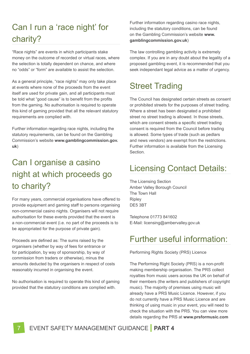# Can I run a 'race night' for charity?

"Race nights" are events in which participants stake money on the outcome of recorded or virtual races, where the selection is totally dependent on chance, and where no "odds" or "form" are available to assist the selection.

As a general principle, "race nights" may only take place at events where none of the proceeds from the event itself are used for private gain, and all participants must be told what "good cause" is to benefit from the profits from the gaming. No authorisation is required to operate this kind of gaming provided that all the relevant statutory requirements are complied with.

Further information regarding race nights, including the statutory requirements, can be found on the Gambling Commission's website **www.gamblingcommission.gov. uk**)

# Can I organise a casino night at which proceeds go to charity?

For many years, commercial organisations have offered to provide equipment and gaming staff to persons organising non-commercial casino nights. Organisers will not require authorisation for these events provided that the event is a non-commercial event (i.e. no part of the proceeds is to be appropriated for the purpose of private gain).

Proceeds are defined as: The sums raised by the organisers (whether by way of fees for entrance or for participation, by way of sponsorship, by way of commission from traders or otherwise), minus the amounts deducted by the organisers in respect of costs reasonably incurred in organising the event.

No authorisation is required to operate this kind of gaming provided that the statutory conditions are complied with.

Further information regarding casino race nights, including the statutory conditions, can be found on the Gambling Commission's website **www. gamblingcommission.gov.uk**)

The law controlling gambling activity is extremely complex. If you are in any doubt about the legality of a proposed gambling event, it is recommended that you seek independant legal advice as a matter of urgency.

## Street Trading

The Council has designated certain streets as consent or prohibited streets for the purposes of street trading. Where a street has been designated a prohibited street no street trading is allowed. In those streets, which are consent streets a specific street trading consent is required from the Council before trading is allowed. Some types of trade (such as pedlars and news vendors) are exempt from the restrictions. Further information is available from the Licensing Section.

## Licensing Contact Details:

The Licensing Section Amber Valley Borough Council The Town Hall Ripley DE5 3BT

Telephone 01773 841602 E-Mail: licensing@ambervalley.gov.uk

## Further useful information:

Performing Rights Society (PRS) Licence

The Performing Right Society (PRS) is a non-profit making membership organisation. The PRS collect royalties from music users across the UK on behalf of their members (the writers and publishers of copyright music). The majority of premises using music will already have a PRS Music Licence. However, if you do not currently have a PRS Music Licence and are thinking of using music in your event, you will need to check the situation with the PRS. You can view more details regarding the PRS at **www.prsformusic.com**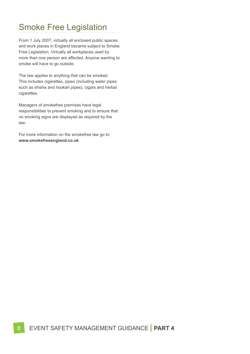## Smoke Free Legislation

From 1 July 2007, virtually all enclosed public spaces and work places in England became subject to Smoke Free Legislation. Virtually all workplaces used by more than one person are affected. Anyone wanting to smoke will have to go outside.

The law applies to anything that can be smoked. This includes cigarettes, pipes (including water pipes such as shisha and hookah pipes), cigars and herbal cigarettes.

Managers of smokefree premises have legal responsibilities to prevent smoking and to ensure that no smoking signs are displayed as required by the law.

For more information on the smokefree law go to: **www.smokefreeengland.co.uk**